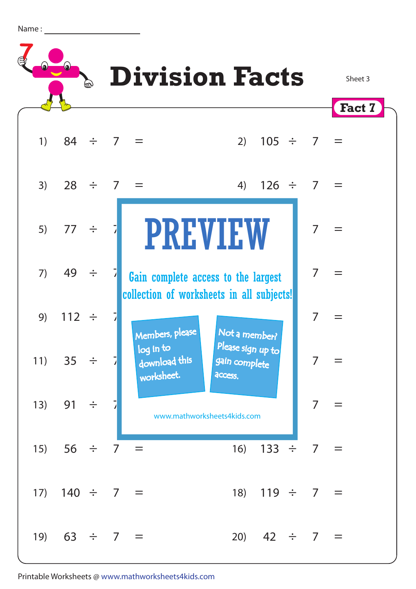